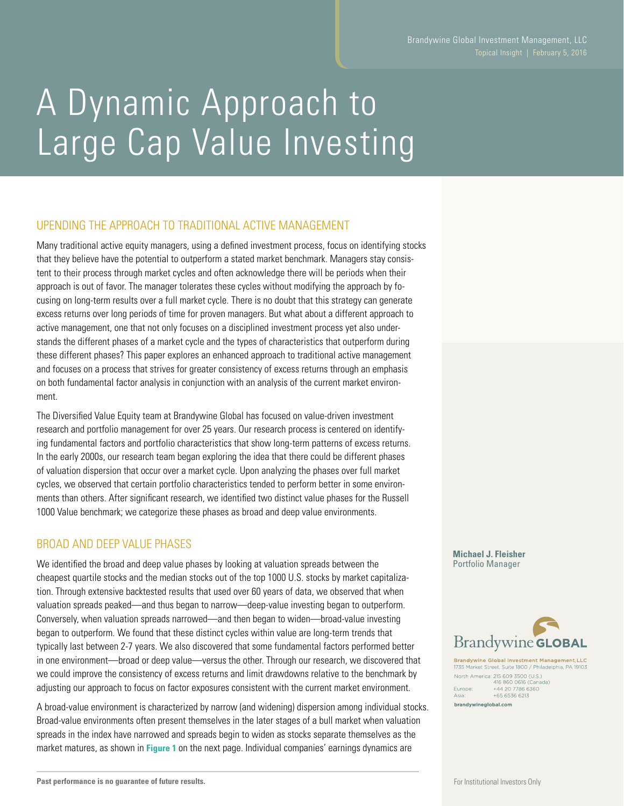# A Dynamic Approach to Large Cap Value Investing

## UPENDING THE APPROACH TO TRADITIONAL ACTIVE MANAGEMENT

Many traditional active equity managers, using a defined investment process, focus on identifying stocks that they believe have the potential to outperform a stated market benchmark. Managers stay consistent to their process through market cycles and often acknowledge there will be periods when their approach is out of favor. The manager tolerates these cycles without modifying the approach by focusing on long-term results over a full market cycle. There is no doubt that this strategy can generate excess returns over long periods of time for proven managers. But what about a different approach to active management, one that not only focuses on a disciplined investment process yet also understands the different phases of a market cycle and the types of characteristics that outperform during these different phases? This paper explores an enhanced approach to traditional active management and focuses on a process that strives for greater consistency of excess returns through an emphasis on both fundamental factor analysis in conjunction with an analysis of the current market environment.

The Diversified Value Equity team at Brandywine Global has focused on value-driven investment research and portfolio management for over 25 years. Our research process is centered on identifying fundamental factors and portfolio characteristics that show long-term patterns of excess returns. In the early 2000s, our research team began exploring the idea that there could be different phases of valuation dispersion that occur over a market cycle. Upon analyzing the phases over full market cycles, we observed that certain portfolio characteristics tended to perform better in some environments than others. After significant research, we identified two distinct value phases for the Russell 1000 Value benchmark; we categorize these phases as broad and deep value environments.

### BROAD AND DEEP VALUE PHASES

We identified the broad and deep value phases by looking at valuation spreads between the cheapest quartile stocks and the median stocks out of the top 1000 U.S. stocks by market capitalization. Through extensive backtested results that used over 60 years of data, we observed that when valuation spreads peaked—and thus began to narrow—deep-value investing began to outperform. Conversely, when valuation spreads narrowed—and then began to widen—broad-value investing began to outperform. We found that these distinct cycles within value are long-term trends that typically last between 2-7 years. We also discovered that some fundamental factors performed better in one environment—broad or deep value—versus the other. Through our research, we discovered that we could improve the consistency of excess returns and limit drawdowns relative to the benchmark by adjusting our approach to focus on factor exposures consistent with the current market environment.

A broad-value environment is characterized by narrow (and widening) dispersion among individual stocks. Broad-value environments often present themselves in the later stages of a bull market when valuation spreads in the index have narrowed and spreads begin to widen as stocks separate themselves as the market matures, as shown in **Figure 1** on the next page. Individual companies' earnings dynamics are

**Brandywine GLOBAL** 

**Brandywine Global Investment Management, LLC** 735 Market Street, Suite 1800 / Philadelphia, PA 19103 North America: 215 609 3500 (U.S.)<br>416 860 0616 (Canac<br>Europe: +44 20 7786 6360 +65 6536 6213 brandywineglobal.com

**Michael J. Fleisher** Portfolio Manager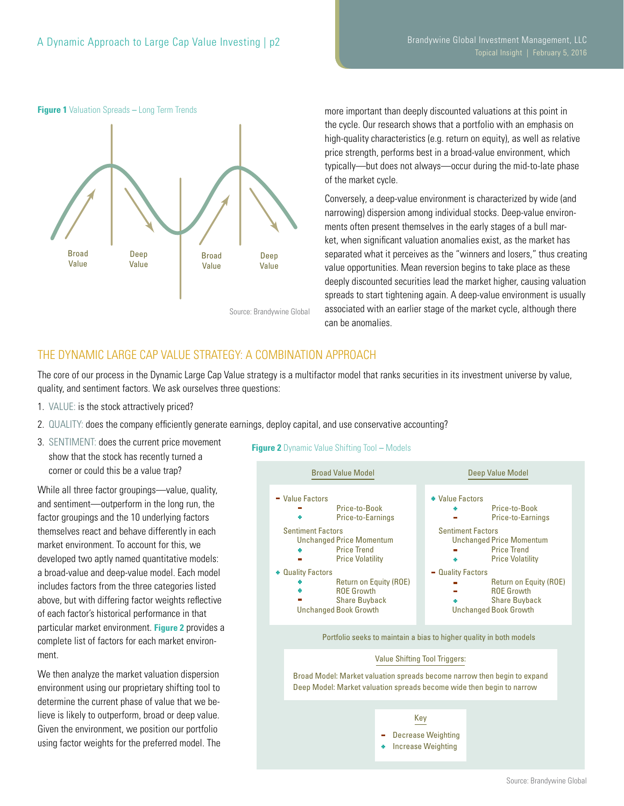

**Figure 1** Valuation Spreads **–** Long Term Trends

more important than deeply discounted valuations at this point in the cycle. Our research shows that a portfolio with an emphasis on high-quality characteristics (e.g. return on equity), as well as relative price strength, performs best in a broad-value environment, which typically—but does not always—occur during the mid-to-late phase of the market cycle.

Conversely, a deep-value environment is characterized by wide (and narrowing) dispersion among individual stocks. Deep-value environments often present themselves in the early stages of a bull market, when significant valuation anomalies exist, as the market has separated what it perceives as the "winners and losers," thus creating value opportunities. Mean reversion begins to take place as these deeply discounted securities lead the market higher, causing valuation spreads to start tightening again. A deep-value environment is usually associated with an earlier stage of the market cycle, although there can be anomalies.

## THE DYNAMIC LARGE CAP VALUE STRATEGY: A COMBINATION APPROACH

The core of our process in the Dynamic Large Cap Value strategy is a multifactor model that ranks securities in its investment universe by value, quality, and sentiment factors. We ask ourselves three questions:

- 1. VALUE: is the stock attractively priced?
- 2. QUALITY: does the company efficiently generate earnings, deploy capital, and use conservative accounting?
- 3. SENTIMENT: does the current price movement show that the stock has recently turned a corner or could this be a value trap?

While all three factor groupings—value, quality, and sentiment—outperform in the long run, the factor groupings and the 10 underlying factors themselves react and behave differently in each market environment. To account for this, we developed two aptly named quantitative models: a broad-value and deep-value model. Each model includes factors from the three categories listed above, but with differing factor weights reflective of each factor's historical performance in that particular market environment. **Figure 2** provides a complete list of factors for each market environment.

We then analyze the market valuation dispersion environment using our proprietary shifting tool to determine the current phase of value that we believe is likely to outperform, broad or deep value. Given the environment, we position our portfolio using factor weights for the preferred model. The

#### **Figure 2** Dynamic Value Shifting Tool **–** Models

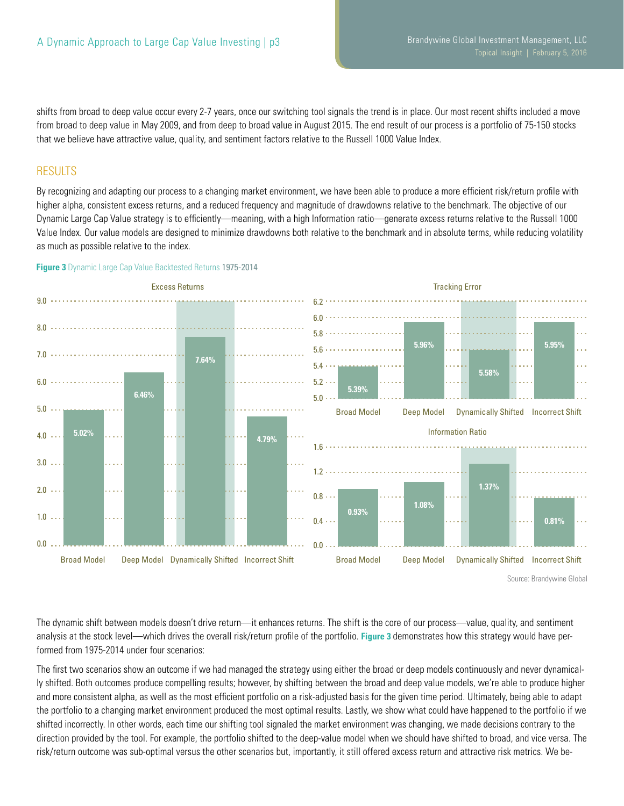shifts from broad to deep value occur every 2-7 years, once our switching tool signals the trend is in place. Our most recent shifts included a move from broad to deep value in May 2009, and from deep to broad value in August 2015. The end result of our process is a portfolio of 75-150 stocks that we believe have attractive value, quality, and sentiment factors relative to the Russell 1000 Value Index.

#### **RESULTS**

By recognizing and adapting our process to a changing market environment, we have been able to produce a more efficient risk/return profile with higher alpha, consistent excess returns, and a reduced frequency and magnitude of drawdowns relative to the benchmark. The objective of our Dynamic Large Cap Value strategy is to efficiently—meaning, with a high Information ratio—generate excess returns relative to the Russell 1000 Value Index. Our value models are designed to minimize drawdowns both relative to the benchmark and in absolute terms, while reducing volatility as much as possible relative to the index.



**Figure 3** Dynamic Large Cap Value Backtested Returns 1975-2014

The dynamic shift between models doesn't drive return—it enhances returns. The shift is the core of our process—value, quality, and sentiment analysis at the stock level—which drives the overall risk/return profile of the portfolio. **Figure 3** demonstrates how this strategy would have performed from 1975-2014 under four scenarios:

The first two scenarios show an outcome if we had managed the strategy using either the broad or deep models continuously and never dynamically shifted. Both outcomes produce compelling results; however, by shifting between the broad and deep value models, we're able to produce higher and more consistent alpha, as well as the most efficient portfolio on a risk-adjusted basis for the given time period. Ultimately, being able to adapt the portfolio to a changing market environment produced the most optimal results. Lastly, we show what could have happened to the portfolio if we shifted incorrectly. In other words, each time our shifting tool signaled the market environment was changing, we made decisions contrary to the direction provided by the tool. For example, the portfolio shifted to the deep-value model when we should have shifted to broad, and vice versa. The risk/return outcome was sub-optimal versus the other scenarios but, importantly, it still offered excess return and attractive risk metrics. We be-

Source: Brandywine Global